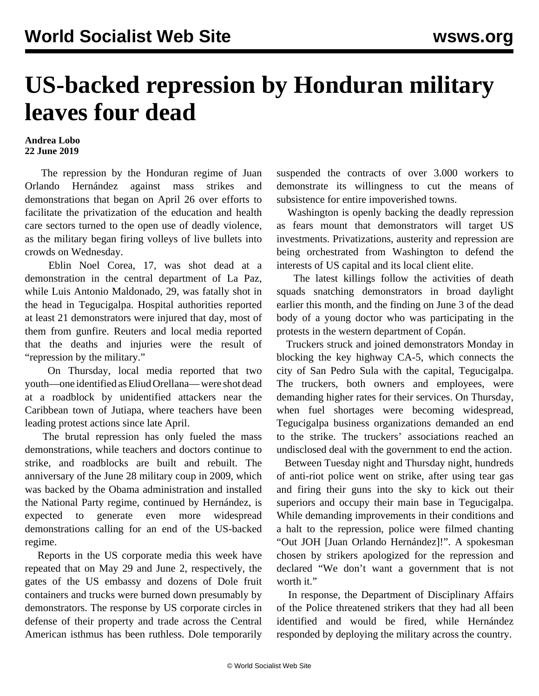## **US-backed repression by Honduran military leaves four dead**

## **Andrea Lobo 22 June 2019**

 The repression by the Honduran regime of Juan Orlando Hernández against mass strikes and demonstrations that began on April 26 over efforts to facilitate the privatization of the education and health care sectors turned to the open use of deadly violence, as the military began firing volleys of live bullets into crowds on Wednesday.

 Eblin Noel Corea, 17, was shot dead at a demonstration in the central department of La Paz, while Luis Antonio Maldonado, 29, was fatally shot in the head in Tegucigalpa. Hospital authorities reported at least 21 demonstrators were injured that day, most of them from gunfire. Reuters and local media reported that the deaths and injuries were the result of "repression by the military."

 On Thursday, local media reported that two youth—one identified as Eliud Orellana— were shot dead at a roadblock by unidentified attackers near the Caribbean town of Jutiapa, where teachers have been leading protest actions since late April.

 The brutal repression has only fueled the mass demonstrations, while teachers and doctors continue to strike, and roadblocks are built and rebuilt. The anniversary of the June 28 military coup in 2009, which was backed by the Obama administration and installed the National Party regime, continued by Hernández, is expected to generate even more widespread demonstrations calling for an end of the US-backed regime.

 Reports in the US corporate media this week have repeated that on May 29 and June 2, respectively, the gates of the US embassy and dozens of Dole fruit containers and trucks were burned down presumably by demonstrators. The response by US corporate circles in defense of their property and trade across the Central American isthmus has been ruthless. Dole temporarily

suspended the contracts of over 3.000 workers to demonstrate its willingness to cut the means of subsistence for entire impoverished towns.

 Washington is openly backing the deadly repression as fears mount that demonstrators will target US investments. Privatizations, austerity and repression are being orchestrated from Washington to defend the interests of US capital and its local client elite.

 The latest killings follow the activities of death squads snatching demonstrators in broad daylight earlier this month, and the finding on June 3 of the dead body of a young doctor who was participating in the protests in the western department of Copán.

 Truckers struck and joined demonstrators Monday in blocking the key highway CA-5, which connects the city of San Pedro Sula with the capital, Tegucigalpa. The truckers, both owners and employees, were demanding higher rates for their services. On Thursday, when fuel shortages were becoming widespread, Tegucigalpa business organizations demanded an end to the strike. The truckers' associations reached an undisclosed deal with the government to end the action.

 Between Tuesday night and Thursday night, hundreds of anti-riot police went on strike, after using tear gas and firing their guns into the sky to kick out their superiors and occupy their main base in Tegucigalpa. While demanding improvements in their conditions and a halt to the repression, police were filmed chanting "Out JOH [Juan Orlando Hernández]!". A spokesman chosen by strikers apologized for the repression and declared "We don't want a government that is not worth it."

 In response, the Department of Disciplinary Affairs of the Police threatened strikers that they had all been identified and would be fired, while Hernández responded by deploying the military across the country.